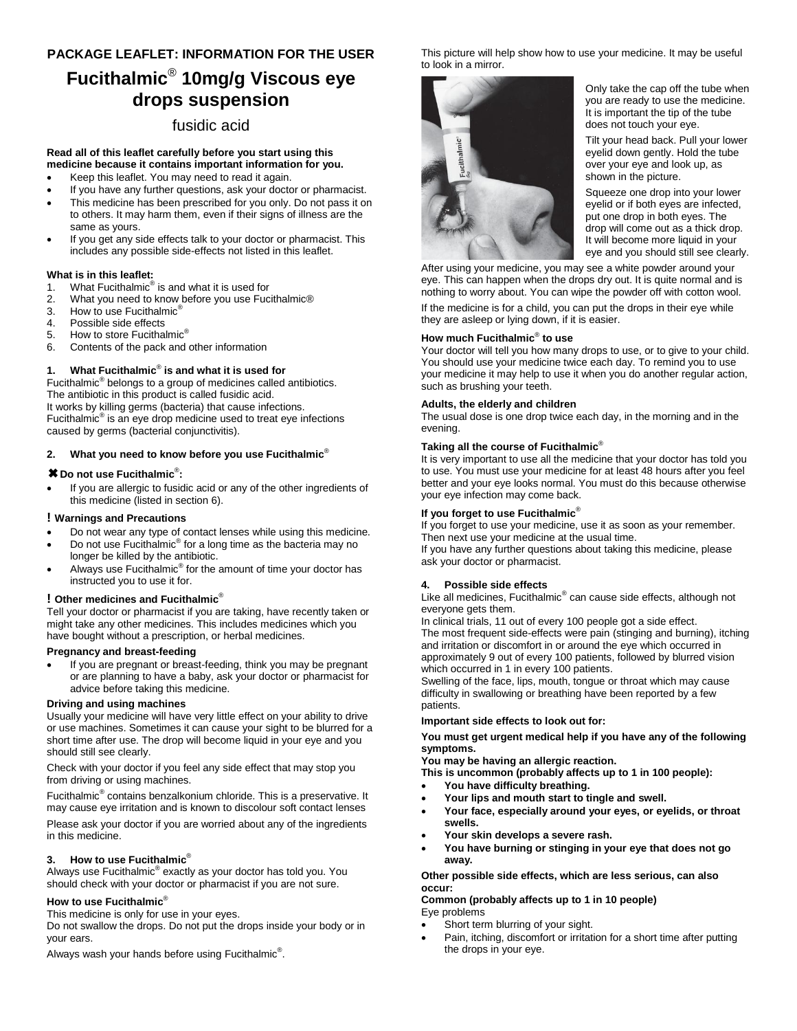## **PACKAGE LEAFLET: INFORMATION FOR THE USER**

# **Fucithalmic**® **10mg/g Viscous eye drops suspension**

# fusidic acid

#### **Read all of this leaflet carefully before you start using this medicine because it contains important information for you.**

- Keep this leaflet. You may need to read it again.
- If you have any further questions, ask your doctor or pharmacist.
- This medicine has been prescribed for you only. Do not pass it on to others. It may harm them, even if their signs of illness are the same as yours.
- If you get any side effects talk to your doctor or pharmacist. This includes any possible side-effects not listed in this leaflet.

## **What is in this leaflet:**

- 1. What Fucithalmic<sup>®</sup> is and what it is used for
- 2. What you need to know before you use Fucithalmic<sup>®</sup><br>3. How to use Fucithalmic<sup>®</sup>
- How to use Fucithalmic<sup>®</sup>
- 4. Possible side effects
- 5. How to store Fucithalmic<sup>®</sup>
- 6. Contents of the pack and other information

## **1. What Fucithalmic**® **is and what it is used for**

Fucithalmic<sup>®</sup> belongs to a group of medicines called antibiotics. The antibiotic in this product is called fusidic acid. It works by killing germs (bacteria) that cause infections. Fucithalmic<sup>®</sup> is an eye drop medicine used to treat eye infections caused by germs (bacterial conjunctivitis).

## **2. What you need to know before you use Fucithalmic**®

## ✖**Do not use Fucithalmic**® **:**

 If you are allergic to fusidic acid or any of the other ingredients of this medicine (listed in section 6).

## **! Warnings and Precautions**

- Do not wear any type of contact lenses while using this medicine.
- $\bullet$  Do not use Fucithalmic<sup>®</sup> for a long time as the bacteria may no longer be killed by the antibiotic.
- Always use Fucithalmic<sup>®</sup> for the amount of time your doctor has instructed you to use it for.

## **! Other medicines and Fucithalmic**®

Tell your doctor or pharmacist if you are taking, have recently taken or might take any other medicines. This includes medicines which you have bought without a prescription, or herbal medicines.

## **Pregnancy and breast-feeding**

 If you are pregnant or breast-feeding, think you may be pregnant or are planning to have a baby, ask your doctor or pharmacist for advice before taking this medicine.

## **Driving and using machines**

Usually your medicine will have very little effect on your ability to drive or use machines. Sometimes it can cause your sight to be blurred for a short time after use. The drop will become liquid in your eye and you should still see clearly.

Check with your doctor if you feel any side effect that may stop you from driving or using machines.

Fucithalmic<sup>®</sup> contains benzalkonium chloride. This is a preservative. It may cause eye irritation and is known to discolour soft contact lenses

Please ask your doctor if you are worried about any of the ingredients in this medicine.

## **3. How to use Fucithalmic**®

Always use Fucithalmic® exactly as your doctor has told you. You should check with your doctor or pharmacist if you are not sure.

## **How to use Fucithalmic**®

This medicine is only for use in your eyes.

Do not swallow the drops. Do not put the drops inside your body or in your ears.

Always wash your hands before using Fucithalmic $^{\circledR}$ .

This picture will help show how to use your medicine. It may be useful to look in a mirror.



Only take the cap off the tube when you are ready to use the medicine. It is important the tip of the tube does not touch your eye.

Tilt your head back. Pull your lower eyelid down gently. Hold the tube over your eye and look up, as shown in the picture.

Squeeze one drop into your lower eyelid or if both eyes are infected, put one drop in both eyes. The drop will come out as a thick drop. It will become more liquid in your eye and you should still see clearly.

After using your medicine, you may see a white powder around your eye. This can happen when the drops dry out. It is quite normal and is nothing to worry about. You can wipe the powder off with cotton wool.

If the medicine is for a child, you can put the drops in their eye while they are asleep or lying down, if it is easier.

#### **How much Fucithalmic**® **to use**

Your doctor will tell you how many drops to use, or to give to your child. You should use your medicine twice each day. To remind you to use your medicine it may help to use it when you do another regular action, such as brushing your teeth.

#### **Adults, the elderly and children**

The usual dose is one drop twice each day, in the morning and in the evening.

#### **Taking all the course of Fucithalmic**®

It is very important to use all the medicine that your doctor has told you to use. You must use your medicine for at least 48 hours after you feel better and your eye looks normal. You must do this because otherwise your eye infection may come back.

## **If you forget to use Fucithalmic**®

If you forget to use your medicine, use it as soon as your remember. Then next use your medicine at the usual time.

If you have any further questions about taking this medicine, please ask your doctor or pharmacist.

#### **4. Possible side effects**

Like all medicines, Fucithalmic® can cause side effects, although not everyone gets them.

In clinical trials, 11 out of every 100 people got a side effect. The most frequent side-effects were pain (stinging and burning), itching and irritation or discomfort in or around the eye which occurred in approximately 9 out of every 100 patients, followed by blurred vision which occurred in 1 in every 100 patients.

Swelling of the face, lips, mouth, tongue or throat which may cause difficulty in swallowing or breathing have been reported by a few patients.

#### **Important side effects to look out for:**

**You must get urgent medical help if you have any of the following symptoms.**

**You may be having an allergic reaction.**

**This is uncommon (probably affects up to 1 in 100 people):**

- **You have difficulty breathing.**
- **Your lips and mouth start to tingle and swell.**
- **Your face, especially around your eyes, or eyelids, or throat swells.**
- **Your skin develops a severe rash.**
- **You have burning or stinging in your eye that does not go away.**

#### **Other possible side effects, which are less serious, can also occur:**

**Common (probably affects up to 1 in 10 people)** Eye problems

- Short term blurring of your sight.
- Pain, itching, discomfort or irritation for a short time after putting the drops in your eye.